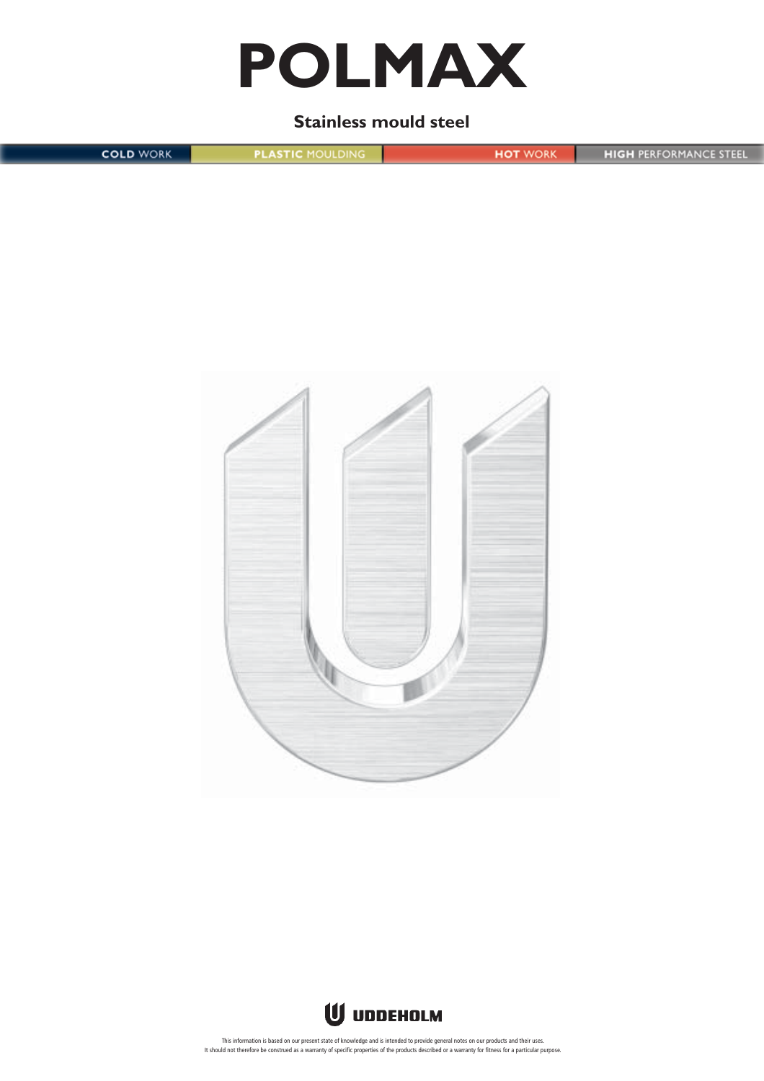

## **Stainless mould steel**

**HIGH PERFORMANCE STEEL COLD WORK PLASTIC MOULDING HOT WORK** 





This information is based on our present state of knowledge and is intended to provide general notes on our products and their uses.<br>It should not therefore be construed as a warranty of specific properties of the products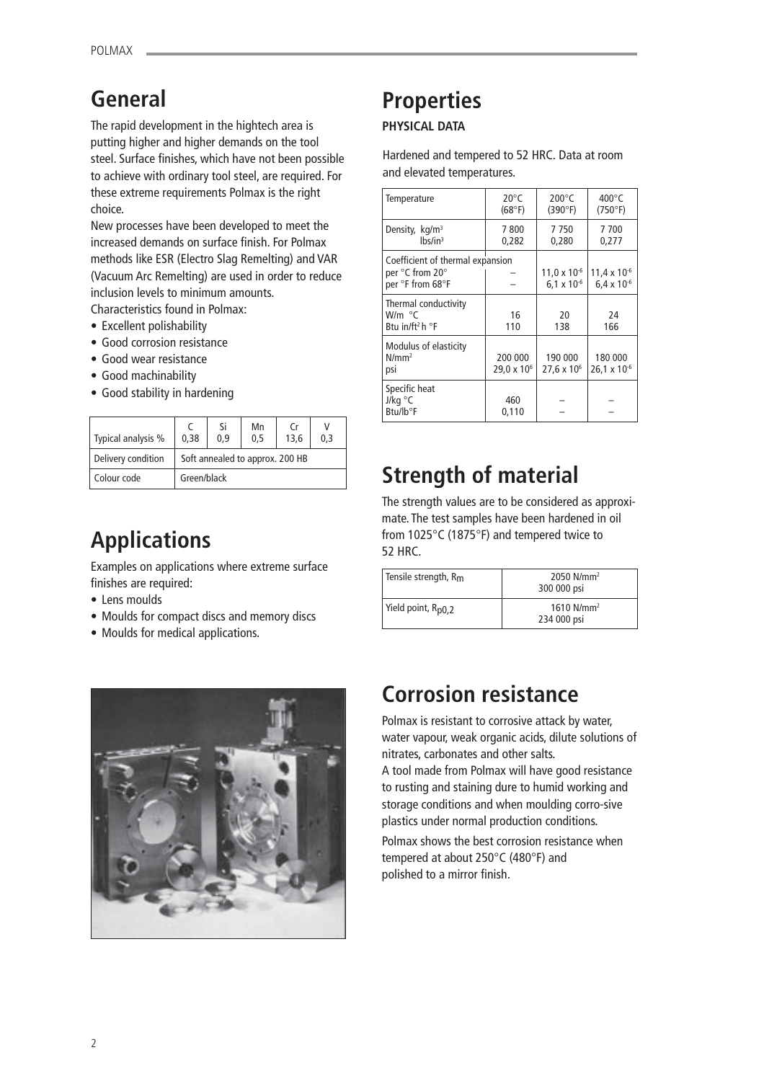## **General**

The rapid development in the hightech area is putting higher and higher demands on the tool steel. Surface finishes, which have not been possible to achieve with ordinary tool steel, are required. For these extreme requirements Polmax is the right choice.

New processes have been developed to meet the increased demands on surface finish. For Polmax methods like ESR (Electro Slag Remelting) and VAR (Vacuum Arc Remelting) are used in order to reduce inclusion levels to minimum amounts.

Characteristics found in Polmax:

- Excellent polishability
- Good corrosion resistance
- Good wear resistance
- Good machinability
- Good stability in hardening

| Typical analysis % | 0,38                                           | Si<br>0.9 | Mn<br>0.5 | Cr<br>13.6 | 0.3 |
|--------------------|------------------------------------------------|-----------|-----------|------------|-----|
| Delivery condition | Soft annealed to approx. 200 HB<br>Green/black |           |           |            |     |
| Colour code        |                                                |           |           |            |     |

## **Applications**

Examples on applications where extreme surface finishes are required:

- Lens moulds
- Moulds for compact discs and memory discs
- Moulds for medical applications.



# **Properties**

## **PHYSICAL DATA**

Hardened and tempered to 52 HRC. Data at room and elevated temperatures.

| Temperature                                                                     | $20^{\circ}$ C<br>(68°F)                      | $200^{\circ}$ C<br>(390°F)                    | $400^{\circ}$ C<br>(750°F)       |  |
|---------------------------------------------------------------------------------|-----------------------------------------------|-----------------------------------------------|----------------------------------|--|
| Density, kg/m <sup>3</sup><br>$lbs/in^3$                                        | 7800<br>0,282                                 | 7750<br>0,280                                 | 7700<br>0,277                    |  |
| Coefficient of thermal expansion<br>per °C from 20°<br>per °F from 68°F         | $11,0 \times 10^{-6}$<br>$6.1 \times 10^{-6}$ | $11,4 \times 10^{-6}$<br>$6.4 \times 10^{-6}$ |                                  |  |
| Thermal conductivity<br>W/m $\degree$ C<br>Btu in/ft <sup>2</sup> h $\degree$ F | 16<br>110                                     | 20<br>138                                     | 24<br>166                        |  |
| Modulus of elasticity<br>$N/mm^2$<br>psi                                        | 200 000<br>$29.0 \times 10^6$                 | 190 000<br>$27.6 \times 10^6$                 | 180 000<br>$26.1 \times 10^{-6}$ |  |
| Specific heat<br>J/kg $\degree$ C<br>Btu/lb°F                                   | 460<br>0,110                                  |                                               |                                  |  |

## **Strength of material**

The strength values are to be considered as approximate. The test samples have been hardened in oil from 1025°C (1875°F) and tempered twice to 52 HRC.

| Tensile strength, R <sub>m</sub> | $2050$ N/mm <sup>2</sup><br>300 000 psi |  |  |
|----------------------------------|-----------------------------------------|--|--|
| Yield point, R <sub>p0,2</sub>   | 1610 $N/mm^2$<br>234 000 psi            |  |  |

## **Corrosion resistance**

Polmax is resistant to corrosive attack by water, water vapour, weak organic acids, dilute solutions of nitrates, carbonates and other salts.

A tool made from Polmax will have good resistance to rusting and staining dure to humid working and storage conditions and when moulding corro-sive plastics under normal production conditions.

Polmax shows the best corrosion resistance when tempered at about 250°C (480°F) and polished to a mirror finish.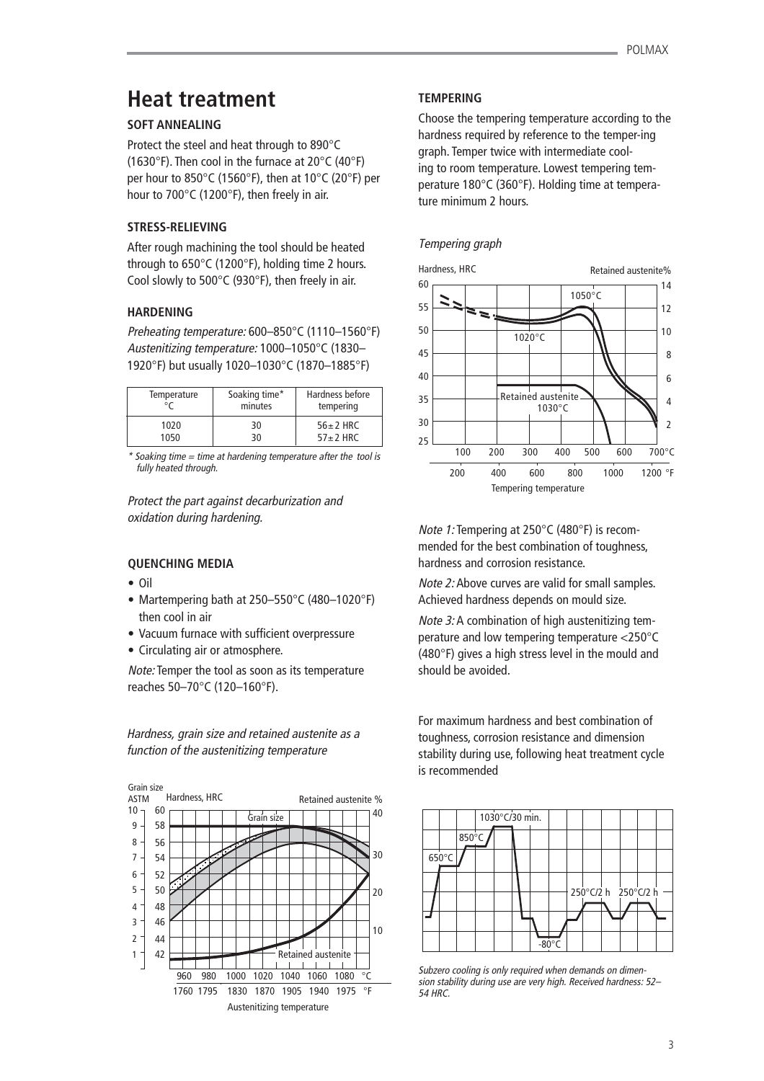## **Heat treatment**

### **SOFT ANNEALING**

Protect the steel and heat through to 890°C (1630°F). Then cool in the furnace at 20°C (40°F) per hour to 850°C (1560°F), then at 10°C (20°F) per hour to 700°C (1200°F), then freely in air.

### **STRESS-RELIEVING**

After rough machining the tool should be heated through to 650°C (1200°F), holding time 2 hours. Cool slowly to 500°C (930°F), then freely in air.

### **HARDENING**

Preheating temperature: 600–850°C (1110–1560°F) Austenitizing temperature: 1000–1050°C (1830– 1920°F) but usually 1020–1030°C (1870–1885°F)

| Temperature | Soaking time*<br>minutes | Hardness before<br>tempering |  |  |
|-------------|--------------------------|------------------------------|--|--|
| 1020        | 30                       | $56 + 2$ HRC                 |  |  |
| 1050        | 30                       | $57 + 2$ HRC                 |  |  |

 $*$  Soaking time = time at hardening temperature after the tool is fully heated through.

Protect the part against decarburization and oxidation during hardening.

## **QUENCHING MEDIA**

- Oil
- Martempering bath at 250–550°C (480–1020°F) then cool in air
- Vacuum furnace with sufficient overpressure
- Circulating air or atmosphere.

Note: Temper the tool as soon as its temperature reaches 50–70°C (120–160°F).

Hardness, grain size and retained austenite as a function of the austenitizing temperature



## **TEMPERING**

Choose the tempering temperature according to the hardness required by reference to the temper-ing graph. Temper twice with intermediate cooling to room temperature. Lowest tempering temperature 180°C (360°F). Holding time at temperature minimum 2 hours.

### Tempering graph



Note 1: Tempering at 250°C (480°F) is recommended for the best combination of toughness, hardness and corrosion resistance.

Note 2: Above curves are valid for small samples. Achieved hardness depends on mould size.

Note 3: A combination of high austenitizing temperature and low tempering temperature <250°C (480°F) gives a high stress level in the mould and should be avoided.

For maximum hardness and best combination of toughness, corrosion resistance and dimension stability during use, following heat treatment cycle is recommended



Subzero cooling is only required when demands on dimension stability during use are very high. Received hardness: 52– 54 HRC.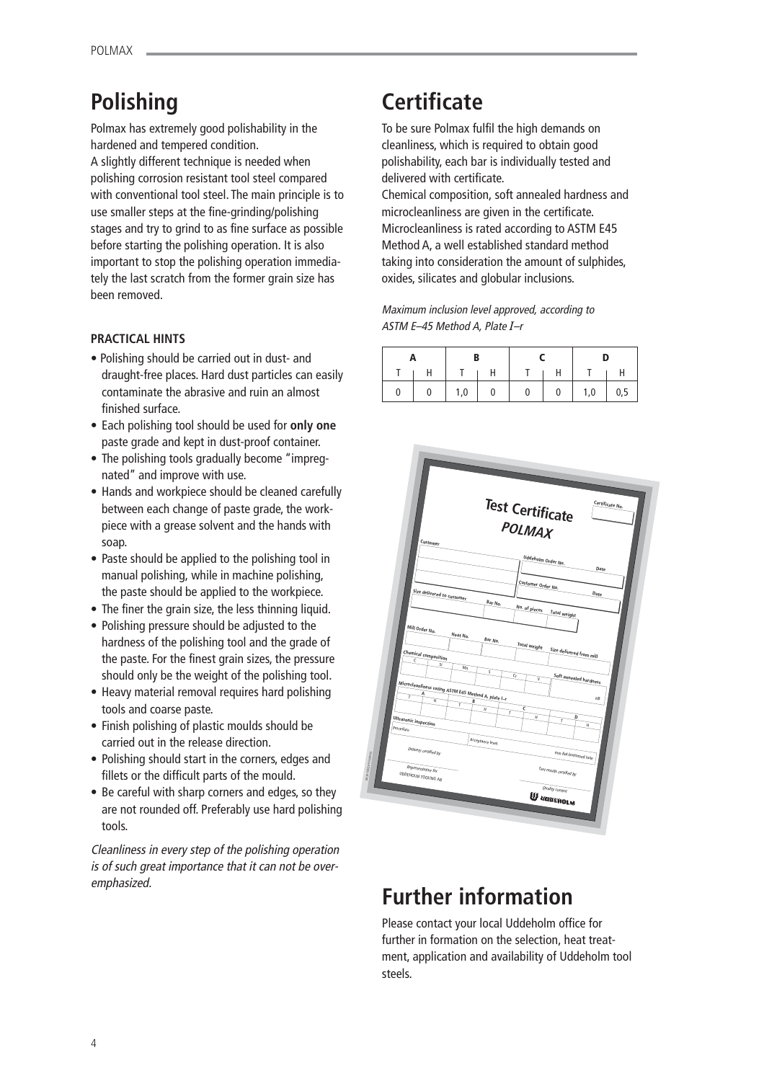## **Polishing**

Polmax has extremely good polishability in the hardened and tempered condition.

A slightly different technique is needed when polishing corrosion resistant tool steel compared with conventional tool steel. The main principle is to use smaller steps at the fine-grinding/polishing stages and try to grind to as fine surface as possible before starting the polishing operation. It is also important to stop the polishing operation immediately the last scratch from the former grain size has been removed.

### **PRACTICAL HINTS**

- Polishing should be carried out in dust- and draught-free places. Hard dust particles can easily contaminate the abrasive and ruin an almost finished surface.
- Each polishing tool should be used for **only one** paste grade and kept in dust-proof container.
- The polishing tools gradually become "impregnated" and improve with use.
- Hands and workpiece should be cleaned carefully between each change of paste grade, the workpiece with a grease solvent and the hands with soap.
- Paste should be applied to the polishing tool in manual polishing, while in machine polishing, the paste should be applied to the workpiece.
- The finer the grain size, the less thinning liquid.
- Polishing pressure should be adjusted to the hardness of the polishing tool and the grade of the paste. For the finest grain sizes, the pressure should only be the weight of the polishing tool.
- Heavy material removal requires hard polishing tools and coarse paste.
- Finish polishing of plastic moulds should be carried out in the release direction.
- Polishing should start in the corners, edges and fillets or the difficult parts of the mould.
- Be careful with sharp corners and edges, so they are not rounded off. Preferably use hard polishing tools.

Cleanliness in every step of the polishing operation is of such great importance that it can not be overemphasized.

## **Certificate**

To be sure Polmax fulfil the high demands on cleanliness, which is required to obtain good polishability, each bar is individually tested and delivered with certificate.

Chemical composition, soft annealed hardness and microcleanliness are given in the certificate. Microcleanliness is rated according to ASTM E45 Method A, a well established standard method taking into consideration the amount of sulphides, oxides, silicates and globular inclusions.

Maximum inclusion level approved, according to ASTM E–45 Method A, Plate *I*–r

|  |  | 1,0 |  |  | $\overline{0}$ | $1,0$ 0,5 |  |
|--|--|-----|--|--|----------------|-----------|--|



## **Further information**

Please contact your local Uddeholm office for further in formation on the selection, heat treatment, application and availability of Uddeholm tool steels.